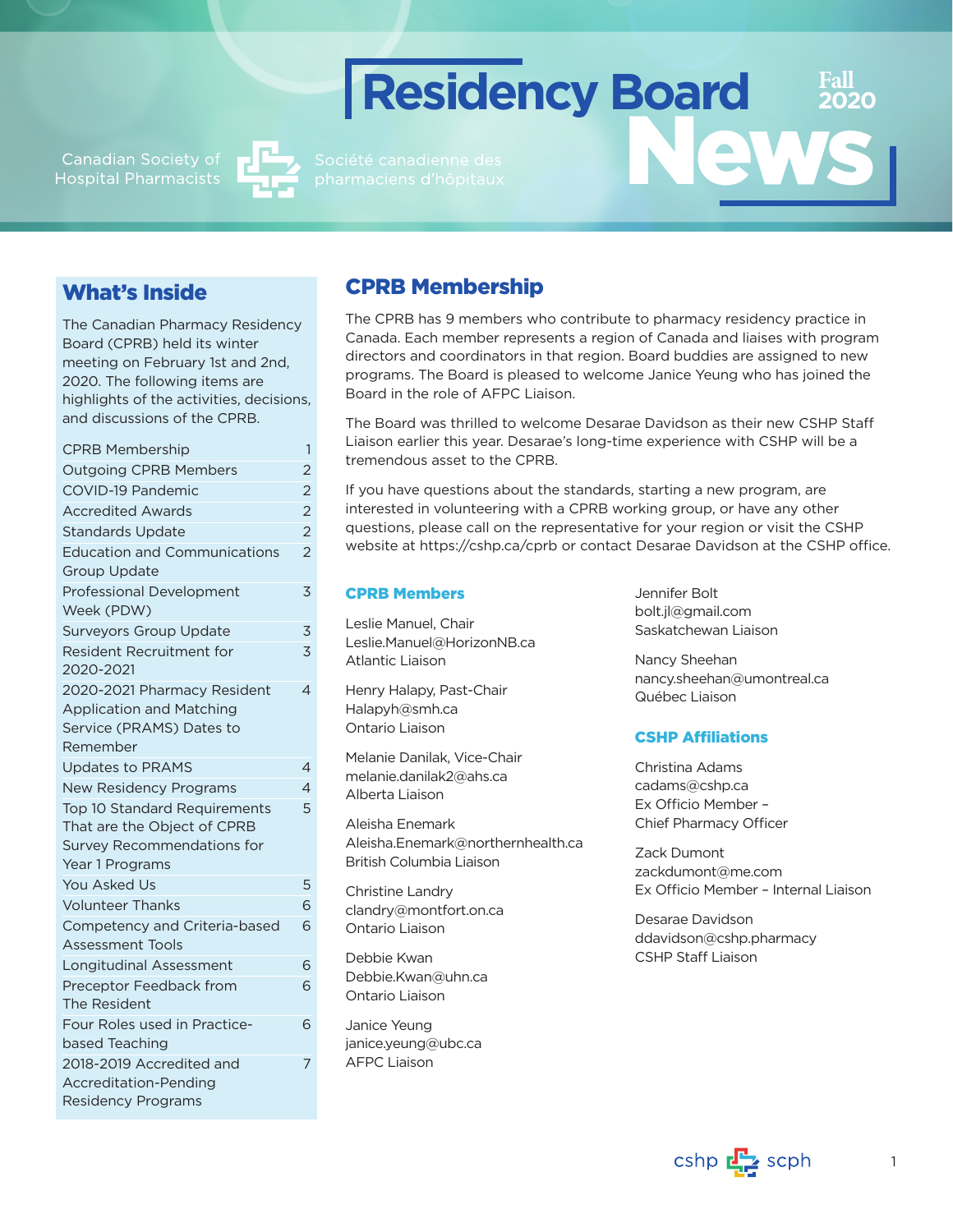Canadian Society of<br>Hospital Pharmacists



# What's Inside

The Canadian Pharmacy Residency Board (CPRB) held its winter meeting on February 1st and 2nd, 2020. The following items are highlights of the activities, decisions, and discussions of the CPRB.

| <b>CPRB Membership</b>              | 1              |
|-------------------------------------|----------------|
| <b>Outgoing CPRB Members</b>        | 2              |
| <b>COVID-19 Pandemic</b>            | 2              |
| <b>Accredited Awards</b>            | $\overline{2}$ |
| <b>Standards Update</b>             | $\overline{2}$ |
| <b>Education and Communications</b> | $\overline{2}$ |
| <b>Group Update</b>                 |                |
| <b>Professional Development</b>     | 3              |
| Week (PDW)                          |                |
| <b>Surveyors Group Update</b>       | 3              |
| Resident Recruitment for            | 3              |
| 2020-2021                           |                |
| 2020-2021 Pharmacy Resident         | 4              |
| <b>Application and Matching</b>     |                |
| Service (PRAMS) Dates to            |                |
| Remember                            |                |
| <b>Updates to PRAMS</b>             | 4              |
| <b>New Residency Programs</b>       | 4              |
| Top 10 Standard Requirements        | 5              |
| That are the Object of CPRB         |                |
| Survey Recommendations for          |                |
| Year 1 Programs                     |                |
| <b>You Asked Us</b>                 | 5              |
| <b>Volunteer Thanks</b>             | 6              |
| Competency and Criteria-based       | 6              |
| <b>Assessment Tools</b>             |                |
| <b>Longitudinal Assessment</b>      | 6              |
| Preceptor Feedback from             | 6              |
| The Resident                        |                |
| Four Roles used in Practice-        | 6              |
| based Teaching                      |                |
| 2018-2019 Accredited and            | 7              |
| Accreditation-Pending               |                |
| <b>Residency Programs</b>           |                |
|                                     |                |

# CPRB Membership

The CPRB has 9 members who contribute to pharmacy residency practice in Canada. Each member represents a region of Canada and liaises with program directors and coordinators in that region. Board buddies are assigned to new programs. The Board is pleased to welcome Janice Yeung who has joined the Board in the role of AFPC Liaison.

**Residency Board**

The Board was thrilled to welcome Desarae Davidson as their new CSHP Staff Liaison earlier this year. Desarae's long-time experience with CSHP will be a tremendous asset to the CPRB.

If you have questions about the standards, starting a new program, are interested in volunteering with a CPRB working group, or have any other questions, please call on the representative for your region or visit the CSHP website at <https://cshp.ca/cprb> or contact [Desarae Davidson](mailto:ddavidson@cshp.ca) at the CSHP office.

### CPRB Members

Leslie Manuel, Chair [Leslie.Manuel@HorizonNB.ca](mailto:Leslie.Manuel@HorizonNB.ca) Atlantic Liaison

Henry Halapy, Past-Chair [Halapyh@smh.ca](mailto:Halapyh@smh.ca) Ontario Liaison

Melanie Danilak, Vice-Chair [melanie.danilak2@ahs.ca](mailto:melanie.danilak2@ahs.ca) Alberta Liaison

Aleisha Enemark Aleisha.Enemark@northernhealth.ca British Columbia Liaison

Christine Landry clandry@montfort.on.ca Ontario Liaison

Debbie Kwan [Debbie.Kwan@uhn.ca](mailto:Debbie.Kwan@uhn.ca) Ontario Liaison

Janice Yeung janice.yeung@ubc.ca AFPC Liaison

Jennifer Bolt [bolt.jl@gmail.com](mailto:bolt.jl@gmail.com) Saskatchewan Liaison

Nancy Sheehan [nancy.sheehan@umontreal.ca](mailto:nancy.sheehan@umontreal.ca) Québec Liaison

News

**Fall 2020**

## CSHP Affiliations

Christina Adams cadams@cshp.ca Ex Officio Member – Chief Pharmacy Officer

Zack Dumont zackdumont@me.com Ex Officio Member – Internal Liaison

Desarae Davidson ddavidson@cshp.pharmacy CSHP Staff Liaison

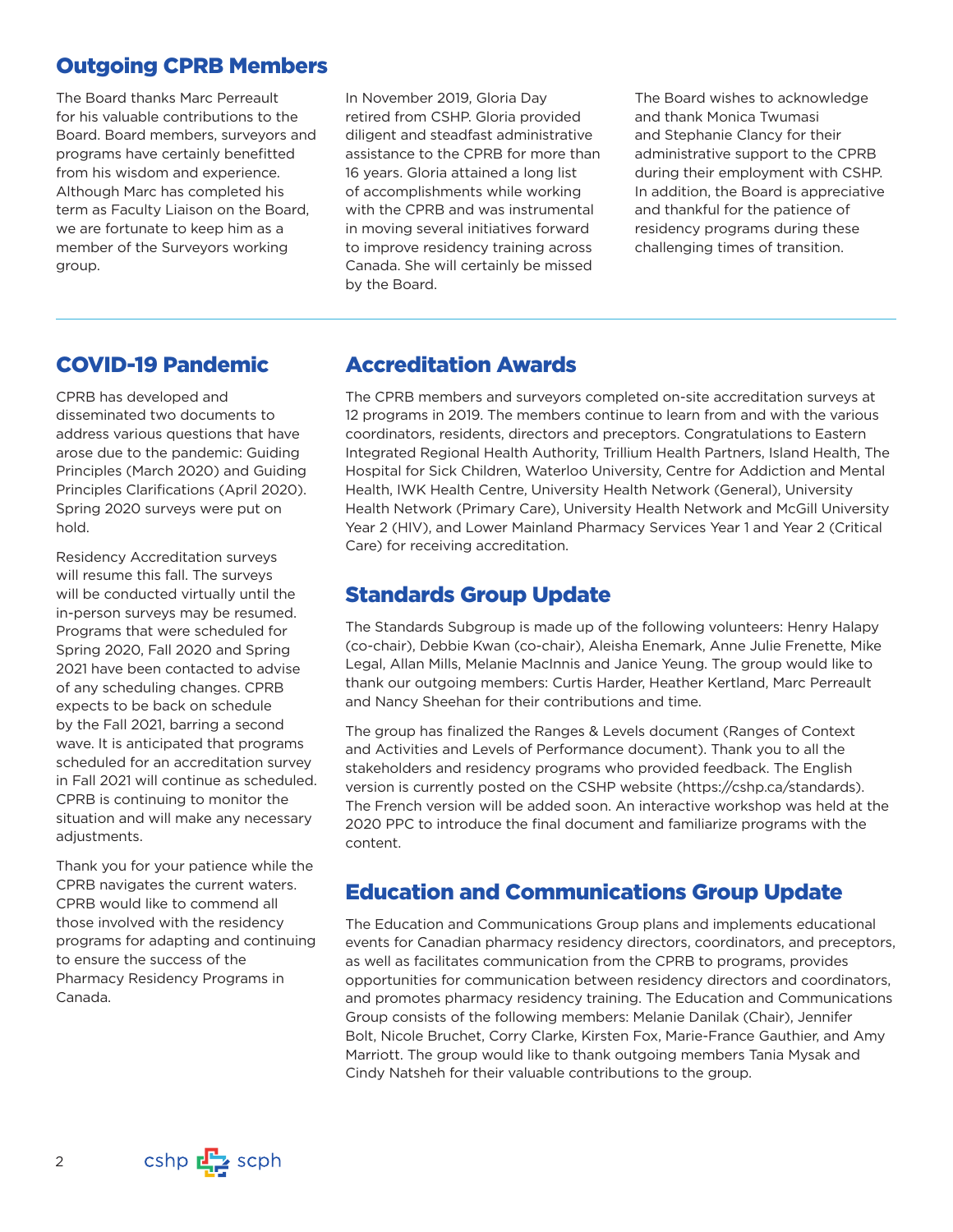# Outgoing CPRB Members

The Board thanks Marc Perreault for his valuable contributions to the Board. Board members, surveyors and programs have certainly benefitted from his wisdom and experience. Although Marc has completed his term as Faculty Liaison on the Board, we are fortunate to keep him as a member of the Surveyors working group.

In November 2019, Gloria Day retired from CSHP. Gloria provided diligent and steadfast administrative assistance to the CPRB for more than 16 years. Gloria attained a long list of accomplishments while working with the CPRB and was instrumental in moving several initiatives forward to improve residency training across Canada. She will certainly be missed by the Board.

The Board wishes to acknowledge and thank Monica Twumasi and Stephanie Clancy for their administrative support to the CPRB during their employment with CSHP. In addition, the Board is appreciative and thankful for the patience of residency programs during these challenging times of transition.

# COVID-19 Pandemic

CPRB has developed and disseminated two documents to address various questions that have arose due to the pandemic: [Guiding](mailto:https://cshp.ca/cprb)  [Principles \(March 2020\) and Guiding](mailto:https://cshp.ca/cprb)  [Principles Clarifications \(April 2020\).](mailto:https://cshp.ca/cprb) Spring 2020 surveys were put on hold.

Residency Accreditation surveys will resume this fall. The surveys will be conducted virtually until the in-person surveys may be resumed. Programs that were scheduled for Spring 2020, Fall 2020 and Spring 2021 have been contacted to advise of any scheduling changes. CPRB expects to be back on schedule by the Fall 2021, barring a second wave. It is anticipated that programs scheduled for an accreditation survey in Fall 2021 will continue as scheduled. CPRB is continuing to monitor the situation and will make any necessary adjustments.

Thank you for your patience while the CPRB navigates the current waters. CPRB would like to commend all those involved with the residency programs for adapting and continuing to ensure the success of the Pharmacy Residency Programs in Canada.

# Accreditation Awards

The CPRB members and surveyors completed on-site accreditation surveys at 12 programs in 2019. The members continue to learn from and with the various coordinators, residents, directors and preceptors. Congratulations to Eastern Integrated Regional Health Authority, Trillium Health Partners, Island Health, The Hospital for Sick Children, Waterloo University, Centre for Addiction and Mental Health, IWK Health Centre, University Health Network (General), University Health Network (Primary Care), University Health Network and McGill University Year 2 (HIV), and Lower Mainland Pharmacy Services Year 1 and Year 2 (Critical Care) for receiving accreditation.

# Standards Group Update

The Standards Subgroup is made up of the following volunteers: Henry Halapy (co-chair), Debbie Kwan (co-chair), Aleisha Enemark, Anne Julie Frenette, Mike Legal, Allan Mills, Melanie MacInnis and Janice Yeung. The group would like to thank our outgoing members: Curtis Harder, Heather Kertland, Marc Perreault and Nancy Sheehan for their contributions and time.

The group has finalized the Ranges & Levels document (Ranges of Context and Activities and Levels of Performance document). Thank you to all the stakeholders and residency programs who provided feedback. The English version is currently posted on the CSHP website ([https://cshp.ca/standards\)](https://cshp.ca/standards). The French version will be added soon. An interactive workshop was held at the 2020 PPC to introduce the final document and familiarize programs with the content.

# Education and Communications Group Update

The Education and Communications Group plans and implements educational events for Canadian pharmacy residency directors, coordinators, and preceptors, as well as facilitates communication from the CPRB to programs, provides opportunities for communication between residency directors and coordinators, and promotes pharmacy residency training. The Education and Communications Group consists of the following members: Melanie Danilak (Chair), Jennifer Bolt, Nicole Bruchet, Corry Clarke, Kirsten Fox, Marie-France Gauthier, and Amy Marriott. The group would like to thank outgoing members Tania Mysak and Cindy Natsheh for their valuable contributions to the group.

cshp  $\mathbb{F}$  scph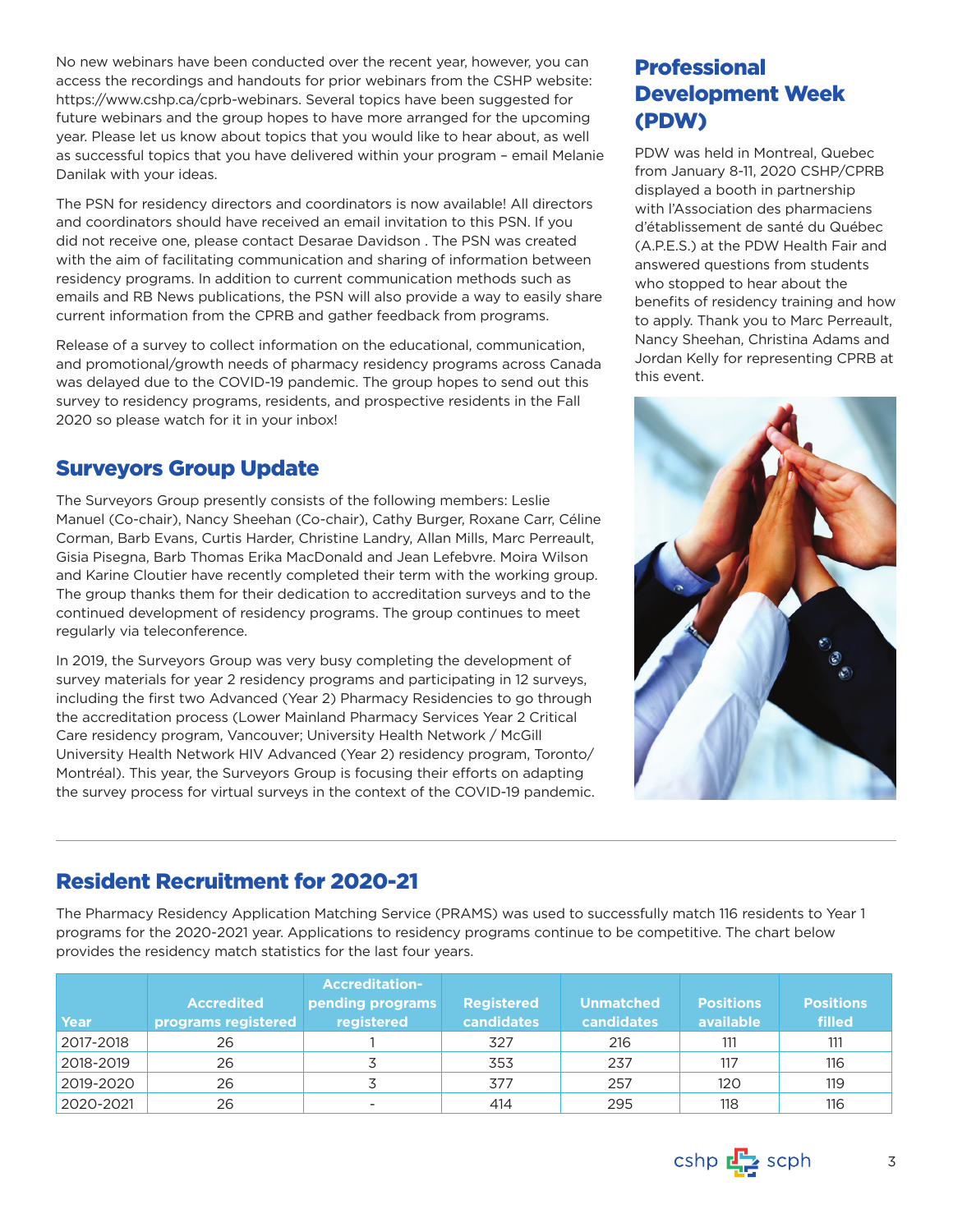No new webinars have been conducted over the recent year, however, you can access the recordings and handouts for prior webinars from the CSHP website: [https://www.cshp.ca/cprb-webinars.](https://www.cshp.ca/cprb-webinars) Several topics have been suggested for future webinars and the group hopes to have more arranged for the upcoming year. Please let us know about topics that you would like to hear about, as well as successful topics that you have delivered within your program – email [Melanie](mailto:Melanie.Danilak2@ahs.ca)  [Danilak](mailto:Melanie.Danilak2@ahs.ca) with your ideas.

The PSN for residency directors and coordinators is now available! All directors and coordinators should have received an email invitation to this PSN. If you did not receive one, please contact Desarae Davidson . The PSN was created with the aim of facilitating communication and sharing of information between residency programs. In addition to current communication methods such as emails and RB News publications, the PSN will also provide a way to easily share current information from the CPRB and gather feedback from programs.

Release of a survey to collect information on the educational, communication, and promotional/growth needs of pharmacy residency programs across Canada was delayed due to the COVID-19 pandemic. The group hopes to send out this survey to residency programs, residents, and prospective residents in the Fall 2020 so please watch for it in your inbox!

# Surveyors Group Update

The Surveyors Group presently consists of the following members: Leslie Manuel (Co-chair), Nancy Sheehan (Co-chair), Cathy Burger, Roxane Carr, Céline Corman, Barb Evans, Curtis Harder, Christine Landry, Allan Mills, Marc Perreault, Gisia Pisegna, Barb Thomas Erika MacDonald and Jean Lefebvre. Moira Wilson and Karine Cloutier have recently completed their term with the working group. The group thanks them for their dedication to accreditation surveys and to the continued development of residency programs. The group continues to meet regularly via teleconference.

In 2019, the Surveyors Group was very busy completing the development of survey materials for year 2 residency programs and participating in 12 surveys, including the first two Advanced (Year 2) Pharmacy Residencies to go through the accreditation process (Lower Mainland Pharmacy Services Year 2 Critical Care residency program, Vancouver; University Health Network / McGill University Health Network HIV Advanced (Year 2) residency program, Toronto/ Montréal). This year, the Surveyors Group is focusing their efforts on adapting the survey process for virtual surveys in the context of the COVID-19 pandemic.

# Professional Development Week (PDW)

PDW was held in Montreal, Quebec from January 8-11, 2020 CSHP/CPRB displayed a booth in partnership with l'Association des pharmaciens d'établissement de santé du Québec (A.P.E.S.) at the PDW Health Fair and answered questions from students who stopped to hear about the benefits of residency training and how to apply. Thank you to Marc Perreault, Nancy Sheehan, Christina Adams and Jordan Kelly for representing CPRB at this event.



# Resident Recruitment for 2020-21

The Pharmacy Residency Application Matching Service (PRAMS) was used to successfully match 116 residents to Year 1 programs for the 2020-2021 year. Applications to residency programs continue to be competitive. The chart below provides the residency match statistics for the last four years.

| Year      | <b>Accredited</b><br>programs registered | <b>Accreditation-</b><br>pending programs<br>registered | <b>Registered</b><br><b>candidates</b> | <b>Unmatched</b><br><b>candidates</b> | <b>Positions</b><br>available | <b>Positions</b><br>filled |
|-----------|------------------------------------------|---------------------------------------------------------|----------------------------------------|---------------------------------------|-------------------------------|----------------------------|
| 2017-2018 | 26                                       |                                                         | 327                                    | 216                                   | 111                           | 111                        |
| 2018-2019 | 26                                       |                                                         | 353                                    | 237                                   | 117                           | 116                        |
| 2019-2020 | 26                                       |                                                         | 377                                    | 257                                   | 120                           | 119                        |
| 2020-2021 | 26                                       | $\overline{\phantom{0}}$                                | 414                                    | 295                                   | 118                           | 116                        |

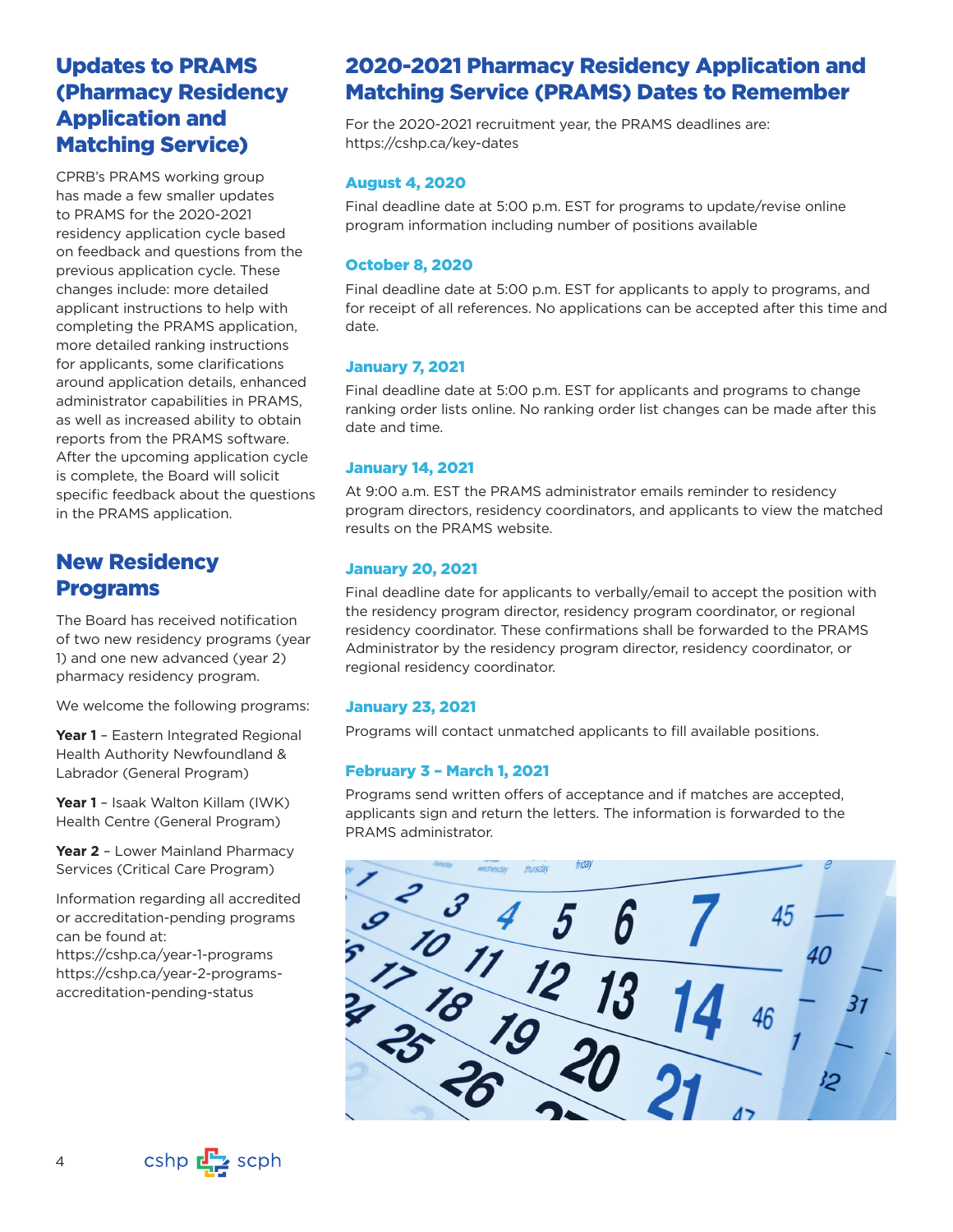# Updates to PRAMS (Pharmacy Residency Application and Matching Service)

CPRB's PRAMS working group has made a few smaller updates to PRAMS for the 2020-2021 residency application cycle based on feedback and questions from the previous application cycle. These changes include: more detailed applicant instructions to help with completing the PRAMS application, more detailed ranking instructions for applicants, some clarifications around application details, enhanced administrator capabilities in PRAMS, as well as increased ability to obtain reports from the PRAMS software. After the upcoming application cycle is complete, the Board will solicit specific feedback about the questions in the PRAMS application.

# New Residency Programs

The Board has received notification of two new residency programs (year 1) and one new advanced (year 2) pharmacy residency program.

We welcome the following programs:

**Year 1** – Eastern Integrated Regional Health Authority Newfoundland & Labrador (General Program)

Year 1 - Isaak Walton Killam (IWK) Health Centre (General Program)

Year 2 - Lower Mainland Pharmacy Services (Critical Care Program)

Information regarding all accredited or accreditation-pending programs can be found at:

<https://cshp.ca/year-1-programs> [https://cshp.ca/year-2-programs](https://cshp.ca/year-2-programs-accreditation-pending-status)[accreditation-pending-status](https://cshp.ca/year-2-programs-accreditation-pending-status)

# 2020-2021 Pharmacy Residency Application and Matching Service (PRAMS) Dates to Remember

For the 2020-2021 recruitment year, the PRAMS deadlines are: <https://cshp.ca/key-dates>

### August 4, 2020

Final deadline date at 5:00 p.m. EST for programs to update/revise online program information including number of positions available

## October 8, 2020

Final deadline date at 5:00 p.m. EST for applicants to apply to programs, and for receipt of all references. No applications can be accepted after this time and date.

## January 7, 2021

Final deadline date at 5:00 p.m. EST for applicants and programs to change ranking order lists online. No ranking order list changes can be made after this date and time.

## January 14, 2021

At 9:00 a.m. EST the PRAMS administrator emails reminder to residency program directors, residency coordinators, and applicants to view the matched results on the PRAMS website.

## January 20, 2021

Final deadline date for applicants to verbally/email to accept the position with the residency program director, residency program coordinator, or regional residency coordinator. These confirmations shall be forwarded to the PRAMS Administrator by the residency program director, residency coordinator, or regional residency coordinator.

### January 23, 2021

Programs will contact unmatched applicants to fill available positions.

## February 3 – March 1, 2021

Programs send written offers of acceptance and if matches are accepted, applicants sign and return the letters. The information is forwarded to the PRAMS administrator.



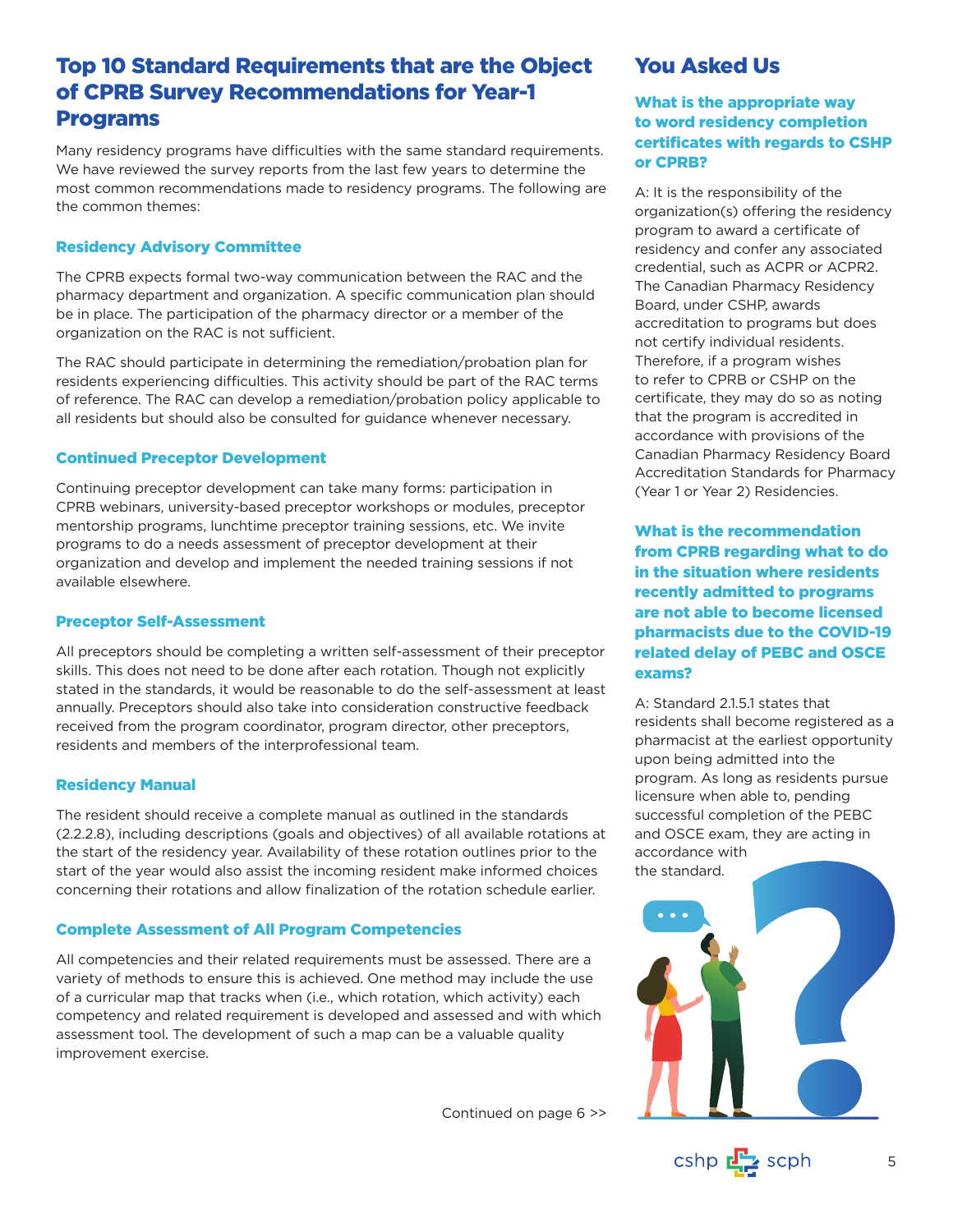# Top 10 Standard Requirements that are the Object of CPRB Survey Recommendations for Year-1 Programs

Many residency programs have difficulties with the same standard requirements. We have reviewed the survey reports from the last few years to determine the most common recommendations made to residency programs. The following are the common themes:

### Residency Advisory Committee

The CPRB expects formal two-way communication between the RAC and the pharmacy department and organization. A specific communication plan should be in place. The participation of the pharmacy director or a member of the organization on the RAC is not sufficient.

The RAC should participate in determining the remediation/probation plan for residents experiencing difficulties. This activity should be part of the RAC terms of reference. The RAC can develop a remediation/probation policy applicable to all residents but should also be consulted for guidance whenever necessary.

### Continued Preceptor Development

Continuing preceptor development can take many forms: participation in CPRB webinars, university-based preceptor workshops or modules, preceptor mentorship programs, lunchtime preceptor training sessions, etc. We invite programs to do a needs assessment of preceptor development at their organization and develop and implement the needed training sessions if not available elsewhere.

### Preceptor Self-Assessment

All preceptors should be completing a written self-assessment of their preceptor skills. This does not need to be done after each rotation. Though not explicitly stated in the standards, it would be reasonable to do the self-assessment at least annually. Preceptors should also take into consideration constructive feedback received from the program coordinator, program director, other preceptors, residents and members of the interprofessional team.

### Residency Manual

The resident should receive a complete manual as outlined in the standards (2.2.2.8), including descriptions (goals and objectives) of all available rotations at the start of the residency year. Availability of these rotation outlines prior to the start of the year would also assist the incoming resident make informed choices concerning their rotations and allow finalization of the rotation schedule earlier.

### Complete Assessment of All Program Competencies

All competencies and their related requirements must be assessed. There are a variety of methods to ensure this is achieved. One method may include the use of a curricular map that tracks when (i.e., which rotation, which activity) each competency and related requirement is developed and assessed and with which assessment tool. The development of such a map can be a valuable quality improvement exercise.

Continued on page 6 >>

# You Asked Us

## What is the appropriate way to word residency completion certificates with regards to CSHP or CPRB?

A: It is the responsibility of the organization(s) offering the residency program to award a certificate of residency and confer any associated credential, such as ACPR or ACPR2. The Canadian Pharmacy Residency Board, under CSHP, awards accreditation to programs but does not certify individual residents. Therefore, if a program wishes to refer to CPRB or CSHP on the certificate, they may do so as noting that the program is accredited in accordance with provisions of the Canadian Pharmacy Residency Board Accreditation Standards for Pharmacy (Year 1 or Year 2) Residencies.

What is the recommendation from CPRB regarding what to do in the situation where residents recently admitted to programs are not able to become licensed pharmacists due to the COVID-19 related delay of PEBC and OSCE exams?

A: Standard 2.1.5.1 states that residents shall become registered as a pharmacist at the earliest opportunity upon being admitted into the program. As long as residents pursue licensure when able to, pending successful completion of the PEBC and OSCE exam, they are acting in accordance with the standard.



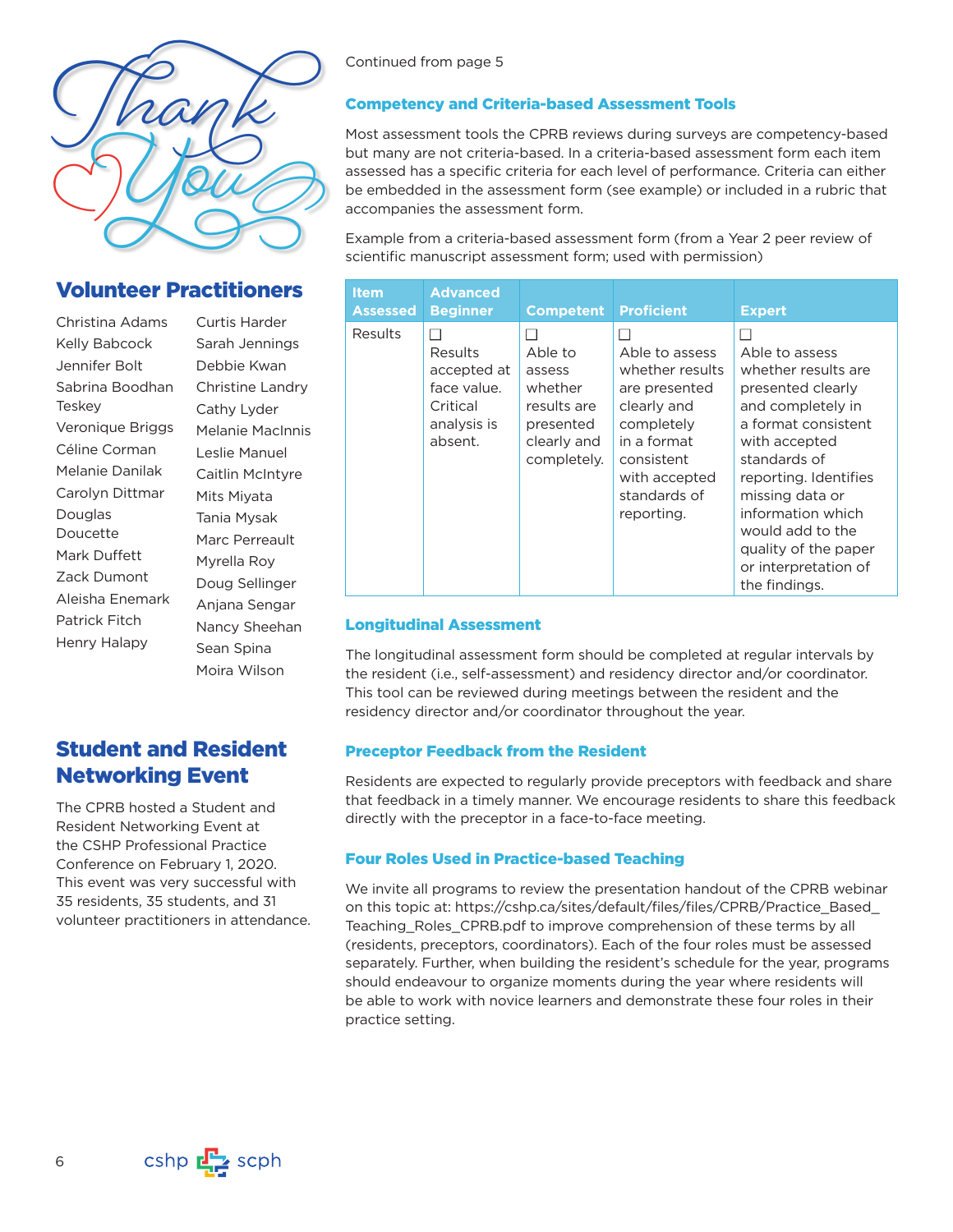

# Volunteer Practitioners

Christina Adams Kelly Babcock Jennifer Bolt Sabrina Boodhan Teskey Veronique Briggs Céline Corman Melanie Danilak Carolyn Dittmar Douglas Doucette Mark Duffett Zack Dumont Aleisha Enemark Patrick Fitch Henry Halapy

Curtis Harder Sarah Jennings Debbie Kwan Christine Landry Cathy Lyder Melanie MacInnis Leslie Manuel Caitlin McIntyre Mits Miyata Tania Mysak Marc Perreault Myrella Roy Doug Sellinger Anjana Sengar Nancy Sheehan Sean Spina Moira Wilson

# Student and Resident Networking Event

The CPRB hosted a Student and Resident Networking Event at the CSHP Professional Practice Conference on February 1, 2020. This event was very successful with 35 residents, 35 students, and 31 volunteer practitioners in attendance. Continued from page 5

### Competency and Criteria-based Assessment Tools

Most assessment tools the CPRB reviews during surveys are competency-based but many are not criteria-based. In a criteria-based assessment form each item assessed has a specific criteria for each level of performance. Criteria can either be embedded in the assessment form (see example) or included in a rubric that accompanies the assessment form.

Example from a criteria-based assessment form (from a Year 2 peer review of scientific manuscript assessment form; used with permission)

| <b>Item</b><br><b>Assessed</b> | <b>Advanced</b><br><b>Beginner</b>                                          | <b>Competent</b>                                                                       | <b>Proficient</b>                                                                                                                                           | <b>Expert</b>                                                                                                                                                                                                                                                                                 |
|--------------------------------|-----------------------------------------------------------------------------|----------------------------------------------------------------------------------------|-------------------------------------------------------------------------------------------------------------------------------------------------------------|-----------------------------------------------------------------------------------------------------------------------------------------------------------------------------------------------------------------------------------------------------------------------------------------------|
| <b>Results</b>                 | Results<br>accepted at<br>face value.<br>Critical<br>analysis is<br>absent. | Able to<br>assess<br>whether<br>results are<br>presented<br>clearly and<br>completely. | Able to assess<br>whether results<br>are presented<br>clearly and<br>completely<br>in a format<br>consistent<br>with accepted<br>standards of<br>reporting. | Able to assess<br>whether results are<br>presented clearly<br>and completely in<br>a format consistent<br>with accepted<br>standards of<br>reporting. Identifies<br>missing data or<br>information which<br>would add to the<br>quality of the paper<br>or interpretation of<br>the findings. |

#### Longitudinal Assessment

The longitudinal assessment form should be completed at regular intervals by the resident (i.e., self-assessment) and residency director and/or coordinator. This tool can be reviewed during meetings between the resident and the residency director and/or coordinator throughout the year.

#### Preceptor Feedback from the Resident

Residents are expected to regularly provide preceptors with feedback and share that feedback in a timely manner. We encourage residents to share this feedback directly with the preceptor in a face-to-face meeting.

#### Four Roles Used in Practice-based Teaching

We invite all programs to review the presentation handout of the CPRB webinar [on this topic at: https://cshp.ca/sites/default/files/files/CPRB/Practice\\_Based\\_](https://cshp.ca/sites/default/files/files/CPRB/Practice_Based_Teaching_Roles_CPRB.pdf) Teaching Roles CPRB.pdf to improve comprehension of these terms by all (residents, preceptors, coordinators). Each of the four roles must be assessed separately. Further, when building the resident's schedule for the year, programs should endeavour to organize moments during the year where residents will be able to work with novice learners and demonstrate these four roles in their practice setting.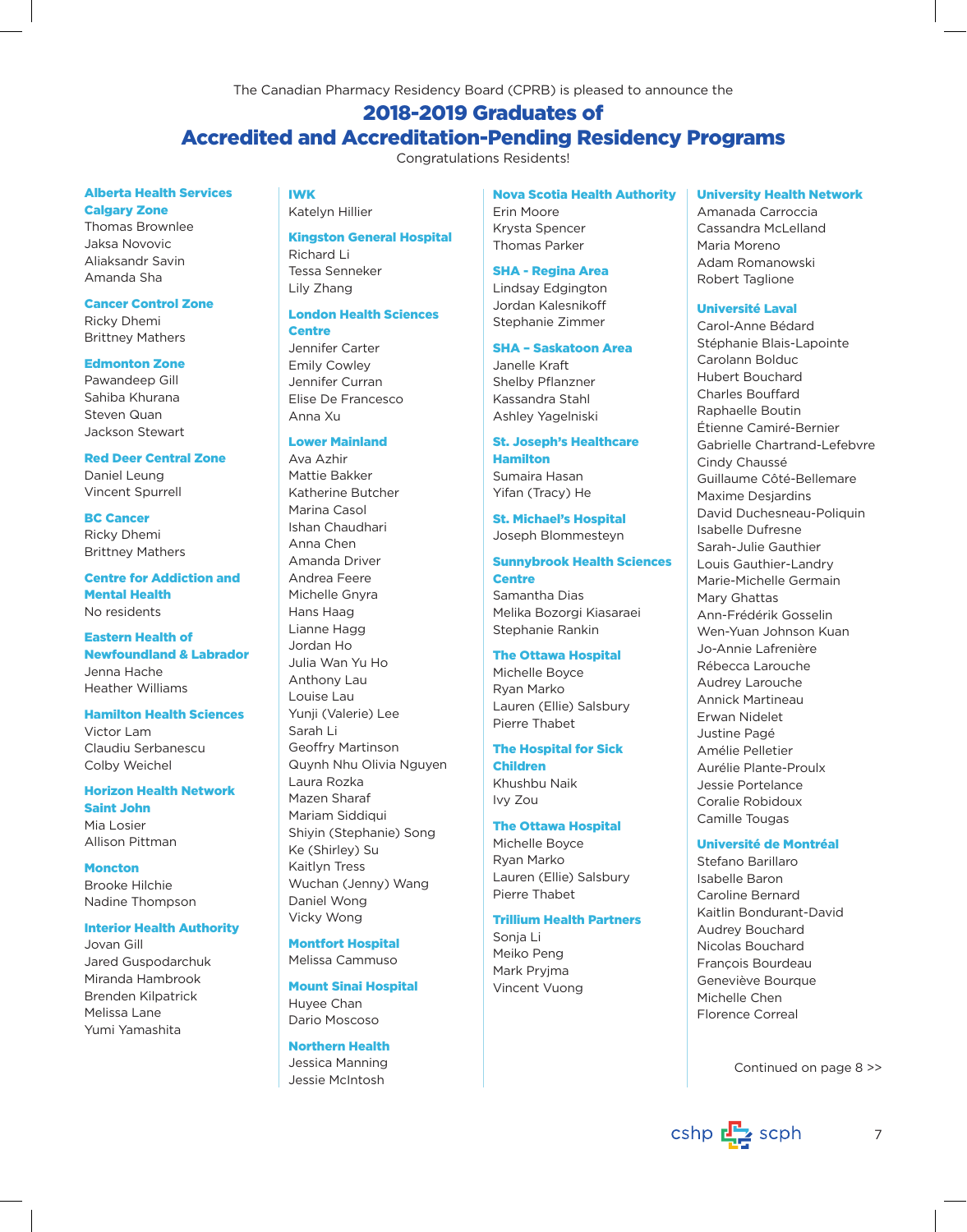The Canadian Pharmacy Residency Board (CPRB) is pleased to announce the

# 2018-2019 Graduates of Accredited and Accreditation-Pending Residency Programs

Congratulations Residents!

#### Alberta Health Services Calgary Zone

Thomas Brownlee Jaksa Novovic Aliaksandr Savin Amanda Sha

#### Cancer Control Zone

Ricky Dhemi Brittney Mathers

#### Edmonton Zone

Pawandeep Gill Sahiba Khurana Steven Quan Jackson Stewart

# Red Deer Central Zone

Daniel Leung Vincent Spurrell

BC Cancer Ricky Dhemi Brittney Mathers

Centre for Addiction and Mental Health No residents

Eastern Health of Newfoundland & Labrador Jenna Hache Heather Williams

Hamilton Health Sciences Victor Lam Claudiu Serbanescu Colby Weichel

# Horizon Health Network

Saint John Mia Losier Allison Pittman

**Moncton** Brooke Hilchie Nadine Thompson

#### Interior Health Authority

Jovan Gill Jared Guspodarchuk Miranda Hambrook Brenden Kilpatrick Melissa Lane Yumi Yamashita

IWK

Kingston General Hospital Richard Li Tessa Senneker

Lily Zhang London Health Sciences

### **Centre**

Katelyn Hillier

Jennifer Carter Emily Cowley Jennifer Curran Elise De Francesco Anna Xu

### Lower Mainland

Ava Azhir Mattie Bakker Katherine Butcher Marina Casol Ishan Chaudhari Anna Chen Amanda Driver Andrea Feere Michelle Gnyra Hans Haag Lianne Hagg Jordan Ho Julia Wan Yu Ho Anthony Lau Louise Lau Yunji (Valerie) Lee Sarah Li Geoffry Martinson Quynh Nhu Olivia Nguyen Laura Rozka Mazen Sharaf Mariam Siddiqui Shiyin (Stephanie) Song Ke (Shirley) Su Kaitlyn Tress Wuchan (Jenny) Wang Daniel Wong Vicky Wong

Montfort Hospital Melissa Cammuso

#### Mount Sinai Hospital

Huyee Chan Dario Moscoso

Northern Health Jessica Manning Jessie McIntosh

Nova Scotia Health Authority

Erin Moore Krysta Spencer Thomas Parker

#### SHA - Regina Area

Lindsay Edgington Jordan Kalesnikoff Stephanie Zimmer

#### SHA – Saskatoon Area

Janelle Kraft Shelby Pflanzner Kassandra Stahl Ashley Yagelniski

#### St. Joseph's Healthcare Hamilton

Sumaira Hasan Yifan (Tracy) He

St. Michael's Hospital Joseph Blommesteyn

# Sunnybrook Health Sciences **Centre**

Samantha Dias Melika Bozorgi Kiasaraei Stephanie Rankin

#### The Ottawa Hospital

Michelle Boyce Ryan Marko Lauren (Ellie) Salsbury Pierre Thabet

### The Hospital for Sick

Children Khushbu Naik Ivy Zou

#### The Ottawa Hospital

Michelle Boyce Ryan Marko Lauren (Ellie) Salsbury Pierre Thabet

### Trillium Health Partners

Sonja Li Meiko Peng Mark Pryjma Vincent Vuong

#### University Health Network

Amanada Carroccia Cassandra McLelland Maria Moreno Adam Romanowski Robert Taglione

#### Université Laval

Carol-Anne Bédard Stéphanie Blais-Lapointe Carolann Bolduc Hubert Bouchard Charles Bouffard Raphaelle Boutin Étienne Camiré-Bernier Gabrielle Chartrand-Lefebvre Cindy Chaussé Guillaume Côté-Bellemare Maxime Desjardins David Duchesneau-Poliquin Isabelle Dufresne Sarah-Julie Gauthier Louis Gauthier-Landry Marie-Michelle Germain Mary Ghattas Ann-Frédérik Gosselin Wen-Yuan Johnson Kuan Jo-Annie Lafrenière Rébecca Larouche Audrey Larouche Annick Martineau Erwan Nidelet Justine Pagé Amélie Pelletier Aurélie Plante-Proulx Jessie Portelance Coralie Robidoux Camille Tougas

#### Université de Montréal

Stefano Barillaro Isabelle Baron Caroline Bernard Kaitlin Bondurant-David Audrey Bouchard Nicolas Bouchard François Bourdeau Geneviève Bourque Michelle Chen Florence Correal

Continued on page 8 >>